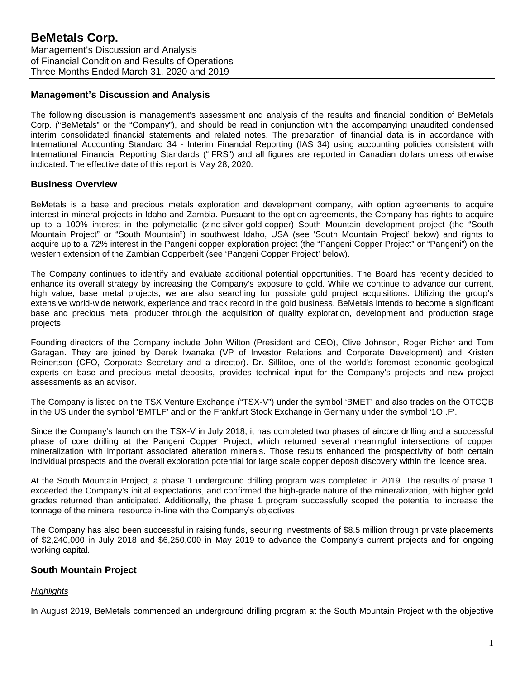# **Management's Discussion and Analysis**

The following discussion is management's assessment and analysis of the results and financial condition of BeMetals Corp. ("BeMetals" or the "Company"), and should be read in conjunction with the accompanying unaudited condensed interim consolidated financial statements and related notes. The preparation of financial data is in accordance with International Accounting Standard 34 - Interim Financial Reporting (IAS 34) using accounting policies consistent with International Financial Reporting Standards ("IFRS") and all figures are reported in Canadian dollars unless otherwise indicated. The effective date of this report is May 28, 2020.

# **Business Overview**

BeMetals is a base and precious metals exploration and development company, with option agreements to acquire interest in mineral projects in Idaho and Zambia. Pursuant to the option agreements, the Company has rights to acquire up to a 100% interest in the polymetallic (zinc-silver-gold-copper) South Mountain development project (the "South Mountain Project" or "South Mountain") in southwest Idaho, USA (see 'South Mountain Project' below) and rights to acquire up to a 72% interest in the Pangeni copper exploration project (the "Pangeni Copper Project" or "Pangeni") on the western extension of the Zambian Copperbelt (see 'Pangeni Copper Project' below).

The Company continues to identify and evaluate additional potential opportunities. The Board has recently decided to enhance its overall strategy by increasing the Company's exposure to gold. While we continue to advance our current, high value, base metal projects, we are also searching for possible gold project acquisitions. Utilizing the group's extensive world-wide network, experience and track record in the gold business. BeMetals intends to become a significant base and precious metal producer through the acquisition of quality exploration, development and production stage projects.

Founding directors of the Company include John Wilton (President and CEO), Clive Johnson, Roger Richer and Tom Garagan. They are joined by Derek Iwanaka (VP of Investor Relations and Corporate Development) and Kristen Reinertson (CFO, Corporate Secretary and a director). Dr. Sillitoe, one of the world's foremost economic geological experts on base and precious metal deposits, provides technical input for the Company's projects and new project assessments as an advisor.

The Company is listed on the TSX Venture Exchange ("TSX-V") under the symbol 'BMET' and also trades on the OTCQB in the US under the symbol 'BMTLF' and on the Frankfurt Stock Exchange in Germany under the symbol '1OI.F'.

Since the Company's launch on the TSX-V in July 2018, it has completed two phases of aircore drilling and a successful phase of core drilling at the Pangeni Copper Project, which returned several meaningful intersections of copper mineralization with important associated alteration minerals. Those results enhanced the prospectivity of both certain individual prospects and the overall exploration potential for large scale copper deposit discovery within the licence area.

At the South Mountain Project, a phase 1 underground drilling program was completed in 2019. The results of phase 1 exceeded the Company's initial expectations, and confirmed the high-grade nature of the mineralization, with higher gold grades returned than anticipated. Additionally, the phase 1 program successfully scoped the potential to increase the tonnage of the mineral resource in-line with the Company's objectives.

The Company has also been successful in raising funds, securing investments of \$8.5 million through private placements of \$2,240,000 in July 2018 and \$6,250,000 in May 2019 to advance the Company's current projects and for ongoing working capital.

# **South Mountain Project**

# *Highlights*

In August 2019, BeMetals commenced an underground drilling program at the South Mountain Project with the objective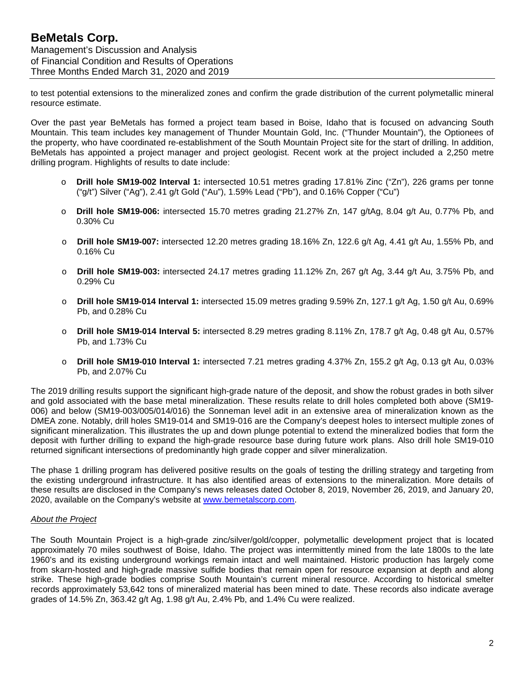to test potential extensions to the mineralized zones and confirm the grade distribution of the current polymetallic mineral resource estimate.

Over the past year BeMetals has formed a project team based in Boise, Idaho that is focused on advancing South Mountain. This team includes key management of Thunder Mountain Gold, Inc. ("Thunder Mountain"), the Optionees of the property, who have coordinated re-establishment of the South Mountain Project site for the start of drilling. In addition, BeMetals has appointed a project manager and project geologist. Recent work at the project included a 2,250 metre drilling program. Highlights of results to date include:

- o **Drill hole SM19-002 Interval 1:** intersected 10.51 metres grading 17.81% Zinc ("Zn"), 226 grams per tonne ("g/t") Silver ("Ag"), 2.41 g/t Gold ("Au"), 1.59% Lead ("Pb"), and 0.16% Copper ("Cu")
- o **Drill hole SM19-006:** intersected 15.70 metres grading 21.27% Zn, 147 g/tAg, 8.04 g/t Au, 0.77% Pb, and 0.30% Cu
- **Drill hole SM19-007:** intersected 12.20 metres grading 18.16% Zn, 122.6 g/t Ag, 4.41 g/t Au, 1.55% Pb, and 0.16% Cu
- o **Drill hole SM19-003:** intersected 24.17 metres grading 11.12% Zn, 267 g/t Ag, 3.44 g/t Au, 3.75% Pb, and 0.29% Cu
- o **Drill hole SM19-014 Interval 1:** intersected 15.09 metres grading 9.59% Zn, 127.1 g/t Ag, 1.50 g/t Au, 0.69% Pb, and 0.28% Cu
- o **Drill hole SM19-014 Interval 5:** intersected 8.29 metres grading 8.11% Zn, 178.7 g/t Ag, 0.48 g/t Au, 0.57% Pb, and 1.73% Cu
- o **Drill hole SM19-010 Interval 1:** intersected 7.21 metres grading 4.37% Zn, 155.2 g/t Ag, 0.13 g/t Au, 0.03% Pb, and 2.07% Cu

The 2019 drilling results support the significant high-grade nature of the deposit, and show the robust grades in both silver and gold associated with the base metal mineralization. These results relate to drill holes completed both above (SM19- 006) and below (SM19-003/005/014/016) the Sonneman level adit in an extensive area of mineralization known as the DMEA zone. Notably, drill holes SM19-014 and SM19-016 are the Company's deepest holes to intersect multiple zones of significant mineralization. This illustrates the up and down plunge potential to extend the mineralized bodies that form the deposit with further drilling to expand the high-grade resource base during future work plans. Also drill hole SM19-010 returned significant intersections of predominantly high grade copper and silver mineralization.

The phase 1 drilling program has delivered positive results on the goals of testing the drilling strategy and targeting from the existing underground infrastructure. It has also identified areas of extensions to the mineralization. More details of these results are disclosed in the Company's news releases dated October 8, 2019, November 26, 2019, and January 20, 2020, available on the Company's website at [www.bemetalscorp.com.](http://www.bemetalscorp.com/)

#### *About the Project*

The South Mountain Project is a high-grade zinc/silver/gold/copper, polymetallic development project that is located approximately 70 miles southwest of Boise, Idaho. The project was intermittently mined from the late 1800s to the late 1960's and its existing underground workings remain intact and well maintained. Historic production has largely come from skarn-hosted and high-grade massive sulfide bodies that remain open for resource expansion at depth and along strike. These high-grade bodies comprise South Mountain's current mineral resource. According to historical smelter records approximately 53,642 tons of mineralized material has been mined to date. These records also indicate average grades of 14.5% Zn, 363.42 g/t Ag, 1.98 g/t Au, 2.4% Pb, and 1.4% Cu were realized.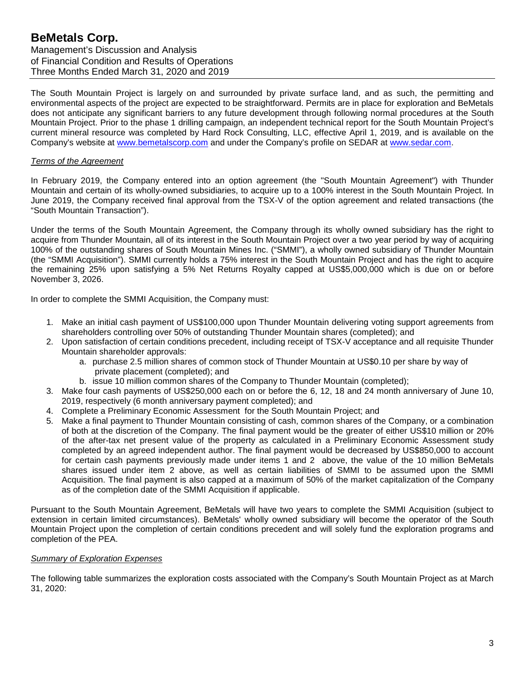The South Mountain Project is largely on and surrounded by private surface land, and as such, the permitting and environmental aspects of the project are expected to be straightforward. Permits are in place for exploration and BeMetals does not anticipate any significant barriers to any future development through following normal procedures at the South Mountain Project. Prior to the phase 1 drilling campaign, an independent technical report for the South Mountain Project's current mineral resource was completed by Hard Rock Consulting, LLC, effective April 1, 2019, and is available on the Company's website at [www.bemetalscorp.com](http://www.bemetalscorp.com/) and under the Company's profile on SEDAR at [www.sedar.com.](http://www.sedar.com/)

### *Terms of the Agreement*

In February 2019, the Company entered into an option agreement (the "South Mountain Agreement") with Thunder Mountain and certain of its wholly-owned subsidiaries, to acquire up to a 100% interest in the South Mountain Project. In June 2019, the Company received final approval from the TSX-V of the option agreement and related transactions (the "South Mountain Transaction").

Under the terms of the South Mountain Agreement, the Company through its wholly owned subsidiary has the right to acquire from Thunder Mountain, all of its interest in the South Mountain Project over a two year period by way of acquiring 100% of the outstanding shares of South Mountain Mines Inc. ("SMMI"), a wholly owned subsidiary of Thunder Mountain (the "SMMI Acquisition"). SMMI currently holds a 75% interest in the South Mountain Project and has the right to acquire the remaining 25% upon satisfying a 5% Net Returns Royalty capped at US\$5,000,000 which is due on or before November 3, 2026.

In order to complete the SMMI Acquisition, the Company must:

- 1. Make an initial cash payment of US\$100,000 upon Thunder Mountain delivering voting support agreements from shareholders controlling over 50% of outstanding Thunder Mountain shares (completed); and
- 2. Upon satisfaction of certain conditions precedent, including receipt of TSX-V acceptance and all requisite Thunder Mountain shareholder approvals:
	- a. purchase 2.5 million shares of common stock of Thunder Mountain at US\$0.10 per share by way of private placement (completed); and
	- b. issue 10 million common shares of the Company to Thunder Mountain (completed);
- 3. Make four cash payments of US\$250,000 each on or before the 6, 12, 18 and 24 month anniversary of June 10, 2019, respectively (6 month anniversary payment completed); and
- 4. Complete a Preliminary Economic Assessment for the South Mountain Project; and
- 5. Make a final payment to Thunder Mountain consisting of cash, common shares of the Company, or a combination of both at the discretion of the Company. The final payment would be the greater of either US\$10 million or 20% of the after-tax net present value of the property as calculated in a Preliminary Economic Assessment study completed by an agreed independent author. The final payment would be decreased by US\$850,000 to account for certain cash payments previously made under items 1 and 2 above, the value of the 10 million BeMetals shares issued under item 2 above, as well as certain liabilities of SMMI to be assumed upon the SMMI Acquisition. The final payment is also capped at a maximum of 50% of the market capitalization of the Company as of the completion date of the SMMI Acquisition if applicable.

Pursuant to the South Mountain Agreement, BeMetals will have two years to complete the SMMI Acquisition (subject to extension in certain limited circumstances). BeMetals' wholly owned subsidiary will become the operator of the South Mountain Project upon the completion of certain conditions precedent and will solely fund the exploration programs and completion of the PEA.

# *Summary of Exploration Expenses*

The following table summarizes the exploration costs associated with the Company's South Mountain Project as at March 31, 2020: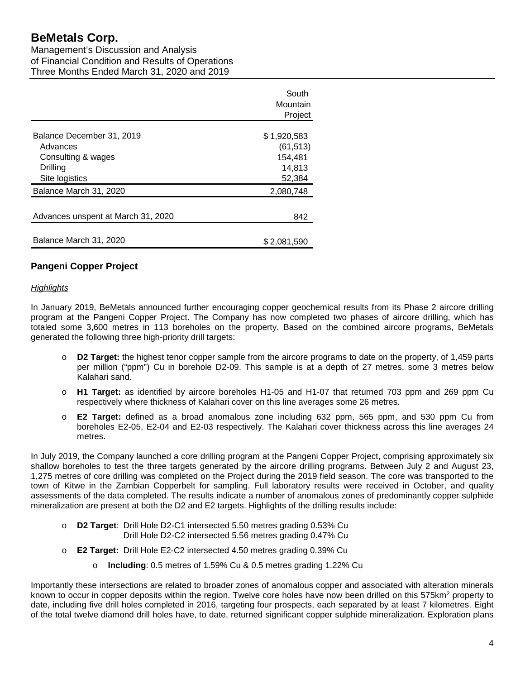Management's Discussion and Analysis of Financial Condition and Results of Operations Three Months Ended March 31, 2020 and 2019

|                                                                                           | South<br>Mountain<br>Project                            |
|-------------------------------------------------------------------------------------------|---------------------------------------------------------|
| Balance December 31, 2019<br>Advances<br>Consulting & wages<br>Drilling<br>Site logistics | \$1,920,583<br>(61, 513)<br>154,481<br>14,813<br>52,384 |
| Balance March 31, 2020                                                                    | 2,080,748                                               |
| Advances unspent at March 31, 2020                                                        | 842                                                     |
| Balance March 31, 2020                                                                    | \$2.081.590                                             |

# **Pangeni Copper Project**

# *Highlights*

In January 2019, BeMetals announced further encouraging copper geochemical results from its Phase 2 aircore drilling program at the Pangeni Copper Project. The Company has now completed two phases of aircore drilling, which has totaled some 3,600 metres in 113 boreholes on the property. Based on the combined aircore programs, BeMetals generated the following three high-priority drill targets:

- D2 Target: the highest tenor copper sample from the aircore programs to date on the property, of 1,459 parts per million ("ppm") Cu in borehole D2-09. This sample is at a depth of 27 metres, some 3 metres below Kalahari sand.
- o **H1 Target:** as identified by aircore boreholes H1-05 and H1-07 that returned 703 ppm and 269 ppm Cu respectively where thickness of Kalahari cover on this line averages some 26 metres.
- o **E2 Target:** defined as a broad anomalous zone including 632 ppm, 565 ppm, and 530 ppm Cu from boreholes E2-05, E2-04 and E2-03 respectively. The Kalahari cover thickness across this line averages 24 metres.

In July 2019, the Company launched a core drilling program at the Pangeni Copper Project, comprising approximately six shallow boreholes to test the three targets generated by the aircore drilling programs. Between July 2 and August 23, 1,275 metres of core drilling was completed on the Project during the 2019 field season. The core was transported to the town of Kitwe in the Zambian Copperbelt for sampling. Full laboratory results were received in October, and quality assessments of the data completed. The results indicate a number of anomalous zones of predominantly copper sulphide mineralization are present at both the D2 and E2 targets. Highlights of the drilling results include:

- o **D2 Target**: Drill Hole D2-C1 intersected 5.50 metres grading 0.53% Cu Drill Hole D2-C2 intersected 5.56 metres grading 0.47% Cu
- o **E2 Target:** Drill Hole E2-C2 intersected 4.50 metres grading 0.39% Cu
	- o **Including**: 0.5 metres of 1.59% Cu & 0.5 metres grading 1.22% Cu

Importantly these intersections are related to broader zones of anomalous copper and associated with alteration minerals known to occur in copper deposits within the region. Twelve core holes have now been drilled on this 575km<sup>2</sup> property to date, including five drill holes completed in 2016, targeting four prospects, each separated by at least 7 kilometres. Eight of the total twelve diamond drill holes have, to date, returned significant copper sulphide mineralization. Exploration plans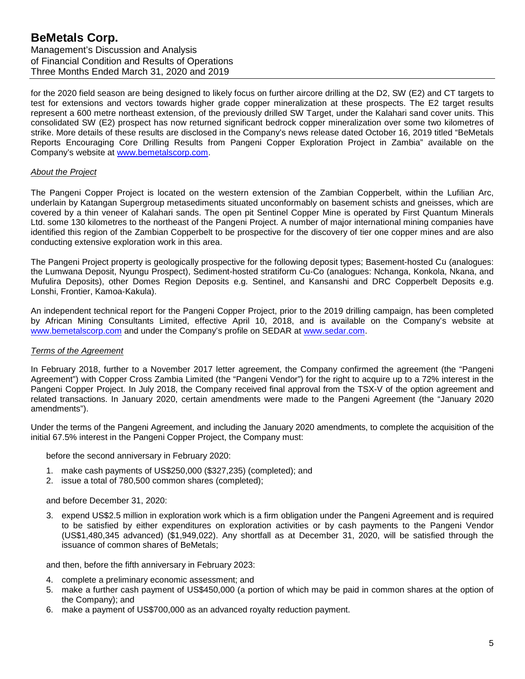Management's Discussion and Analysis of Financial Condition and Results of Operations Three Months Ended March 31, 2020 and 2019

for the 2020 field season are being designed to likely focus on further aircore drilling at the D2, SW (E2) and CT targets to test for extensions and vectors towards higher grade copper mineralization at these prospects. The E2 target results represent a 600 metre northeast extension, of the previously drilled SW Target, under the Kalahari sand cover units. This consolidated SW (E2) prospect has now returned significant bedrock copper mineralization over some two kilometres of strike. More details of these results are disclosed in the Company's news release dated October 16, 2019 titled "BeMetals Reports Encouraging Core Drilling Results from Pangeni Copper Exploration Project in Zambia" available on the Company's website at [www.bemetalscorp.com.](http://www.bemetalscorp.com/)

#### *About the Project*

The Pangeni Copper Project is located on the western extension of the Zambian Copperbelt, within the Lufilian Arc, underlain by Katangan Supergroup metasediments situated unconformably on basement schists and gneisses, which are covered by a thin veneer of Kalahari sands. The open pit Sentinel Copper Mine is operated by First Quantum Minerals Ltd. some 130 kilometres to the northeast of the Pangeni Project. A number of major international mining companies have identified this region of the Zambian Copperbelt to be prospective for the discovery of tier one copper mines and are also conducting extensive exploration work in this area.

The Pangeni Project property is geologically prospective for the following deposit types; Basement-hosted Cu (analogues: the Lumwana Deposit, Nyungu Prospect), Sediment-hosted stratiform Cu-Co (analogues: Nchanga, Konkola, Nkana, and Mufulira Deposits), other Domes Region Deposits e.g. Sentinel, and Kansanshi and DRC Copperbelt Deposits e.g. Lonshi, Frontier, Kamoa-Kakula).

An independent technical report for the Pangeni Copper Project, prior to the 2019 drilling campaign, has been completed by African Mining Consultants Limited, effective April 10, 2018, and is available on the Company's website at [www.bemetalscorp.com](http://www.bemetalscorp.com/) and under the Company's profile on SEDAR at [www.sedar.com.](http://www.sedar.com/)

# *Terms of the Agreement*

In February 2018, further to a November 2017 letter agreement, the Company confirmed the agreement (the "Pangeni Agreement") with Copper Cross Zambia Limited (the "Pangeni Vendor") for the right to acquire up to a 72% interest in the Pangeni Copper Project. In July 2018, the Company received final approval from the TSX-V of the option agreement and related transactions. In January 2020, certain amendments were made to the Pangeni Agreement (the "January 2020 amendments").

Under the terms of the Pangeni Agreement, and including the January 2020 amendments, to complete the acquisition of the initial 67.5% interest in the Pangeni Copper Project, the Company must:

before the second anniversary in February 2020:

- 1. make cash payments of US\$250,000 (\$327,235) (completed); and
- 2. issue a total of 780,500 common shares (completed);

and before December 31, 2020:

3. expend US\$2.5 million in exploration work which is a firm obligation under the Pangeni Agreement and is required to be satisfied by either expenditures on exploration activities or by cash payments to the Pangeni Vendor (US\$1,480,345 advanced) (\$1,949,022). Any shortfall as at December 31, 2020, will be satisfied through the issuance of common shares of BeMetals;

and then, before the fifth anniversary in February 2023:

- 4. complete a preliminary economic assessment; and
- 5. make a further cash payment of US\$450,000 (a portion of which may be paid in common shares at the option of the Company); and
- 6. make a payment of US\$700,000 as an advanced royalty reduction payment.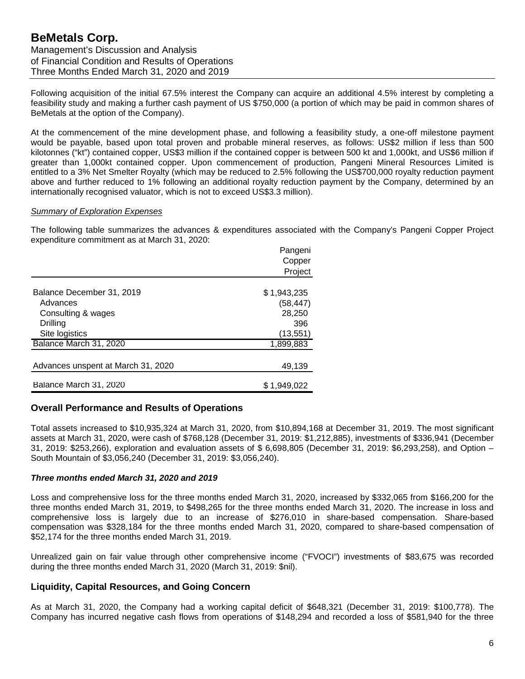Following acquisition of the initial 67.5% interest the Company can acquire an additional 4.5% interest by completing a feasibility study and making a further cash payment of US \$750,000 (a portion of which may be paid in common shares of BeMetals at the option of the Company).

At the commencement of the mine development phase, and following a feasibility study, a one-off milestone payment would be payable, based upon total proven and probable mineral reserves, as follows: US\$2 million if less than 500 kilotonnes ("kt") contained copper, US\$3 million if the contained copper is between 500 kt and 1,000kt, and US\$6 million if greater than 1,000kt contained copper. Upon commencement of production, Pangeni Mineral Resources Limited is entitled to a 3% Net Smelter Royalty (which may be reduced to 2.5% following the US\$700,000 royalty reduction payment above and further reduced to 1% following an additional royalty reduction payment by the Company, determined by an internationally recognised valuator, which is not to exceed US\$3.3 million).

#### *Summary of Exploration Expenses*

The following table summarizes the advances & expenditures associated with the Company's Pangeni Copper Project expenditure commitment as at March 31, 2020:

|                                    | Pangeni     |
|------------------------------------|-------------|
|                                    | Copper      |
|                                    | Project     |
|                                    |             |
| Balance December 31, 2019          | \$1,943,235 |
| Advances                           | (58, 447)   |
| Consulting & wages                 | 28,250      |
| Drilling                           | 396         |
| Site logistics                     | (13,551)    |
| Balance March 31, 2020             | 1,899,883   |
|                                    |             |
| Advances unspent at March 31, 2020 | 49,139      |
|                                    |             |
| Balance March 31, 2020             | \$1,949,022 |

# **Overall Performance and Results of Operations**

Total assets increased to \$10,935,324 at March 31, 2020, from \$10,894,168 at December 31, 2019. The most significant assets at March 31, 2020, were cash of \$768,128 (December 31, 2019: \$1,212,885), investments of \$336,941 (December 31, 2019: \$253,266), exploration and evaluation assets of \$ 6,698,805 (December 31, 2019: \$6,293,258), and Option – South Mountain of \$3,056,240 (December 31, 2019: \$3,056,240).

#### *Three months ended March 31, 2020 and 2019*

Loss and comprehensive loss for the three months ended March 31, 2020, increased by \$332,065 from \$166,200 for the three months ended March 31, 2019, to \$498,265 for the three months ended March 31, 2020. The increase in loss and comprehensive loss is largely due to an increase of \$276,010 in share-based compensation. Share-based compensation was \$328,184 for the three months ended March 31, 2020, compared to share-based compensation of \$52,174 for the three months ended March 31, 2019.

Unrealized gain on fair value through other comprehensive income ("FVOCI") investments of \$83,675 was recorded during the three months ended March 31, 2020 (March 31, 2019: \$nil).

# **Liquidity, Capital Resources, and Going Concern**

As at March 31, 2020, the Company had a working capital deficit of \$648,321 (December 31, 2019: \$100,778). The Company has incurred negative cash flows from operations of \$148,294 and recorded a loss of \$581,940 for the three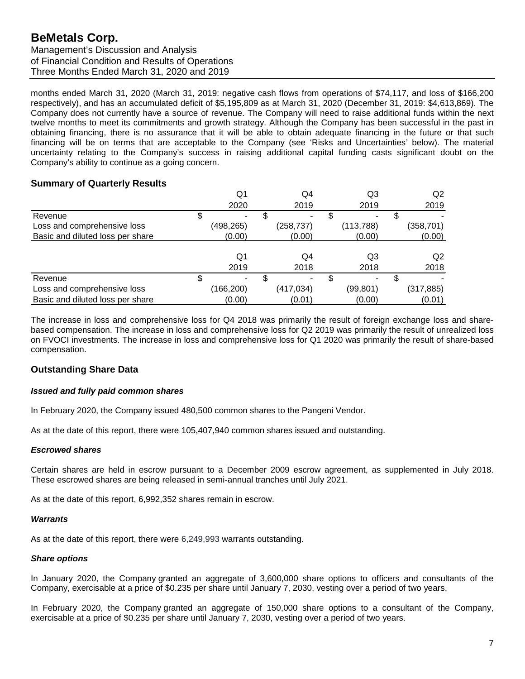Management's Discussion and Analysis of Financial Condition and Results of Operations Three Months Ended March 31, 2020 and 2019

months ended March 31, 2020 (March 31, 2019: negative cash flows from operations of \$74,117, and loss of \$166,200 respectively), and has an accumulated deficit of \$5,195,809 as at March 31, 2020 (December 31, 2019: \$4,613,869). The Company does not currently have a source of revenue. The Company will need to raise additional funds within the next twelve months to meet its commitments and growth strategy. Although the Company has been successful in the past in obtaining financing, there is no assurance that it will be able to obtain adequate financing in the future or that such financing will be on terms that are acceptable to the Company (see 'Risks and Uncertainties' below). The material uncertainty relating to the Company's success in raising additional capital funding casts significant doubt on the Company's ability to continue as a going concern.

# **Summary of Quarterly Results**

|                                  | Q1         | Q4         |   | Q3         | Q2         |
|----------------------------------|------------|------------|---|------------|------------|
|                                  | 2020       | 2019       |   | 2019       | 2019       |
| Revenue                          | \$         | ٠          | S |            |            |
| Loss and comprehensive loss      | (498, 265) | (258, 737) |   | (113, 788) | (358, 701) |
| Basic and diluted loss per share | (0.00)     | (0.00)     |   | (0.00)     | (0.00)     |
|                                  |            |            |   |            |            |
|                                  | Q1         | Q4         |   | Q3         | Q2         |
|                                  | 2019       | 2018       |   | 2018       | 2018       |
| Revenue                          | \$<br>-    | ۰          |   |            |            |
| Loss and comprehensive loss      | (166, 200) | (417, 034) |   | (99, 801)  | (317, 885) |
| Basic and diluted loss per share | (0.00)     | (0.01)     |   | (0.00)     | (0.01)     |

The increase in loss and comprehensive loss for Q4 2018 was primarily the result of foreign exchange loss and sharebased compensation. The increase in loss and comprehensive loss for Q2 2019 was primarily the result of unrealized loss on FVOCI investments. The increase in loss and comprehensive loss for Q1 2020 was primarily the result of share-based compensation.

# **Outstanding Share Data**

# *Issued and fully paid common shares*

In February 2020, the Company issued 480,500 common shares to the Pangeni Vendor.

As at the date of this report, there were 105,407,940 common shares issued and outstanding.

# *Escrowed shares*

Certain shares are held in escrow pursuant to a December 2009 escrow agreement, as supplemented in July 2018. These escrowed shares are being released in semi-annual tranches until July 2021.

As at the date of this report, 6,992,352 shares remain in escrow.

#### *Warrants*

As at the date of this report, there were 6,249,993 warrants outstanding.

#### *Share options*

In January 2020, the Company granted an aggregate of 3,600,000 share options to officers and consultants of the Company, exercisable at a price of \$0.235 per share until January 7, 2030, vesting over a period of two years.

In February 2020, the Company granted an aggregate of 150,000 share options to a consultant of the Company, exercisable at a price of \$0.235 per share until January 7, 2030, vesting over a period of two years.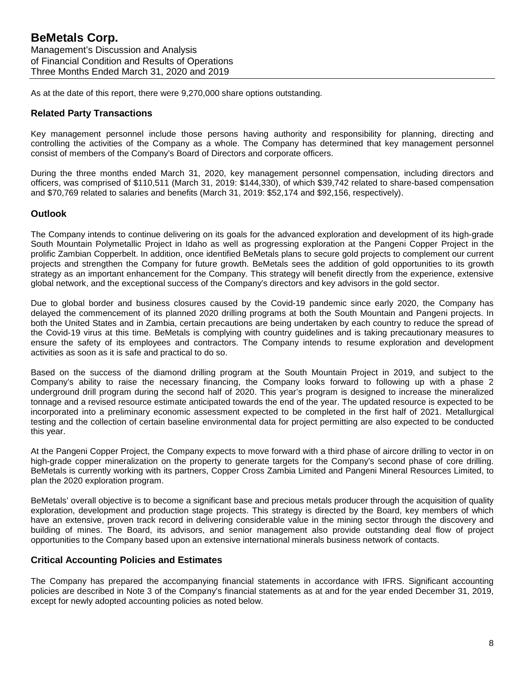As at the date of this report, there were 9,270,000 share options outstanding.

# **Related Party Transactions**

Key management personnel include those persons having authority and responsibility for planning, directing and controlling the activities of the Company as a whole. The Company has determined that key management personnel consist of members of the Company's Board of Directors and corporate officers.

During the three months ended March 31, 2020, key management personnel compensation, including directors and officers, was comprised of \$110,511 (March 31, 2019: \$144,330), of which \$39,742 related to share-based compensation and \$70,769 related to salaries and benefits (March 31, 2019: \$52,174 and \$92,156, respectively).

# **Outlook**

The Company intends to continue delivering on its goals for the advanced exploration and development of its high-grade South Mountain Polymetallic Project in Idaho as well as progressing exploration at the Pangeni Copper Project in the prolific Zambian Copperbelt. In addition, once identified BeMetals plans to secure gold projects to complement our current projects and strengthen the Company for future growth. BeMetals sees the addition of gold opportunities to its growth strategy as an important enhancement for the Company. This strategy will benefit directly from the experience, extensive global network, and the exceptional success of the Company's directors and key advisors in the gold sector.

Due to global border and business closures caused by the Covid-19 pandemic since early 2020, the Company has delayed the commencement of its planned 2020 drilling programs at both the South Mountain and Pangeni projects. In both the United States and in Zambia, certain precautions are being undertaken by each country to reduce the spread of the Covid-19 virus at this time. BeMetals is complying with country guidelines and is taking precautionary measures to ensure the safety of its employees and contractors. The Company intends to resume exploration and development activities as soon as it is safe and practical to do so.

Based on the success of the diamond drilling program at the South Mountain Project in 2019, and subject to the Company's ability to raise the necessary financing, the Company looks forward to following up with a phase 2 underground drill program during the second half of 2020. This year's program is designed to increase the mineralized tonnage and a revised resource estimate anticipated towards the end of the year. The updated resource is expected to be incorporated into a preliminary economic assessment expected to be completed in the first half of 2021. Metallurgical testing and the collection of certain baseline environmental data for project permitting are also expected to be conducted this year.

At the Pangeni Copper Project, the Company expects to move forward with a third phase of aircore drilling to vector in on high-grade copper mineralization on the property to generate targets for the Company's second phase of core drilling. BeMetals is currently working with its partners, Copper Cross Zambia Limited and Pangeni Mineral Resources Limited, to plan the 2020 exploration program.

BeMetals' overall objective is to become a significant base and precious metals producer through the acquisition of quality exploration, development and production stage projects. This strategy is directed by the Board, key members of which have an extensive, proven track record in delivering considerable value in the mining sector through the discovery and building of mines. The Board, its advisors, and senior management also provide outstanding deal flow of project opportunities to the Company based upon an extensive international minerals business network of contacts.

# **Critical Accounting Policies and Estimates**

The Company has prepared the accompanying financial statements in accordance with IFRS. Significant accounting policies are described in Note 3 of the Company's financial statements as at and for the year ended December 31, 2019, except for newly adopted accounting policies as noted below.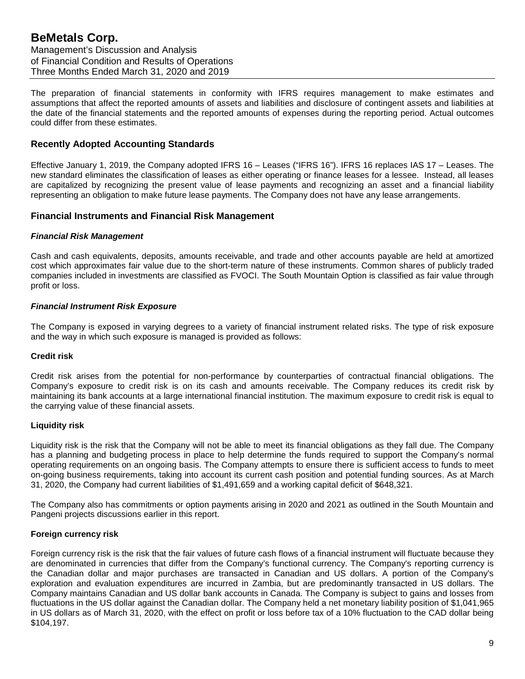The preparation of financial statements in conformity with IFRS requires management to make estimates and assumptions that affect the reported amounts of assets and liabilities and disclosure of contingent assets and liabilities at the date of the financial statements and the reported amounts of expenses during the reporting period. Actual outcomes could differ from these estimates.

# **Recently Adopted Accounting Standards**

Effective January 1, 2019, the Company adopted IFRS 16 – Leases ("IFRS 16"). IFRS 16 replaces IAS 17 – Leases. The new standard eliminates the classification of leases as either operating or finance leases for a lessee. Instead, all leases are capitalized by recognizing the present value of lease payments and recognizing an asset and a financial liability representing an obligation to make future lease payments. The Company does not have any lease arrangements.

# **Financial Instruments and Financial Risk Management**

#### *Financial Risk Management*

Cash and cash equivalents, deposits, amounts receivable, and trade and other accounts payable are held at amortized cost which approximates fair value due to the short-term nature of these instruments. Common shares of publicly traded companies included in investments are classified as FVOCI. The South Mountain Option is classified as fair value through profit or loss.

#### *Financial Instrument Risk Exposure*

The Company is exposed in varying degrees to a variety of financial instrument related risks. The type of risk exposure and the way in which such exposure is managed is provided as follows:

#### **Credit risk**

Credit risk arises from the potential for non-performance by counterparties of contractual financial obligations. The Company's exposure to credit risk is on its cash and amounts receivable. The Company reduces its credit risk by maintaining its bank accounts at a large international financial institution. The maximum exposure to credit risk is equal to the carrying value of these financial assets.

#### **Liquidity risk**

Liquidity risk is the risk that the Company will not be able to meet its financial obligations as they fall due. The Company has a planning and budgeting process in place to help determine the funds required to support the Company's normal operating requirements on an ongoing basis. The Company attempts to ensure there is sufficient access to funds to meet on-going business requirements, taking into account its current cash position and potential funding sources. As at March 31, 2020, the Company had current liabilities of \$1,491,659 and a working capital deficit of \$648,321.

The Company also has commitments or option payments arising in 2020 and 2021 as outlined in the South Mountain and Pangeni projects discussions earlier in this report.

#### **Foreign currency risk**

Foreign currency risk is the risk that the fair values of future cash flows of a financial instrument will fluctuate because they are denominated in currencies that differ from the Company's functional currency. The Company's reporting currency is the Canadian dollar and major purchases are transacted in Canadian and US dollars. A portion of the Company's exploration and evaluation expenditures are incurred in Zambia, but are predominantly transacted in US dollars. The Company maintains Canadian and US dollar bank accounts in Canada. The Company is subject to gains and losses from fluctuations in the US dollar against the Canadian dollar. The Company held a net monetary liability position of \$1,041,965 in US dollars as of March 31, 2020, with the effect on profit or loss before tax of a 10% fluctuation to the CAD dollar being \$104,197.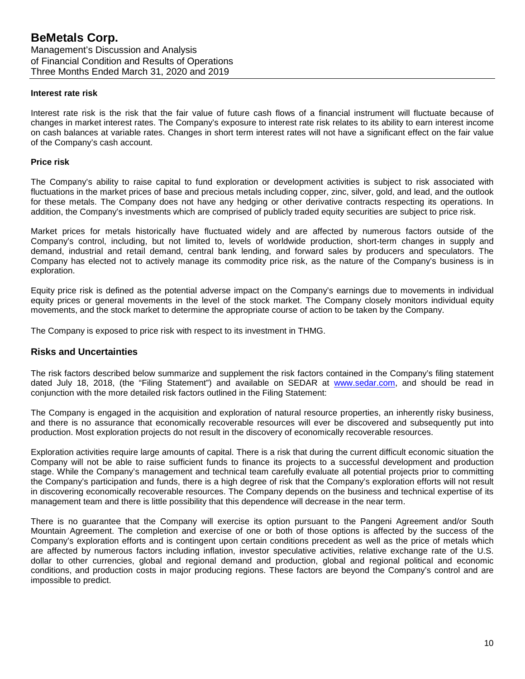#### **Interest rate risk**

Interest rate risk is the risk that the fair value of future cash flows of a financial instrument will fluctuate because of changes in market interest rates. The Company's exposure to interest rate risk relates to its ability to earn interest income on cash balances at variable rates. Changes in short term interest rates will not have a significant effect on the fair value of the Company's cash account.

#### **Price risk**

The Company's ability to raise capital to fund exploration or development activities is subject to risk associated with fluctuations in the market prices of base and precious metals including copper, zinc, silver, gold, and lead, and the outlook for these metals. The Company does not have any hedging or other derivative contracts respecting its operations. In addition, the Company's investments which are comprised of publicly traded equity securities are subject to price risk.

Market prices for metals historically have fluctuated widely and are affected by numerous factors outside of the Company's control, including, but not limited to, levels of worldwide production, short-term changes in supply and demand, industrial and retail demand, central bank lending, and forward sales by producers and speculators. The Company has elected not to actively manage its commodity price risk, as the nature of the Company's business is in exploration.

Equity price risk is defined as the potential adverse impact on the Company's earnings due to movements in individual equity prices or general movements in the level of the stock market. The Company closely monitors individual equity movements, and the stock market to determine the appropriate course of action to be taken by the Company.

The Company is exposed to price risk with respect to its investment in THMG.

#### **Risks and Uncertainties**

The risk factors described below summarize and supplement the risk factors contained in the Company's filing statement dated July 18, 2018, (the "Filing Statement") and available on SEDAR at [www.sedar.com,](http://www.sedar.com/) and should be read in conjunction with the more detailed risk factors outlined in the Filing Statement:

The Company is engaged in the acquisition and exploration of natural resource properties, an inherently risky business, and there is no assurance that economically recoverable resources will ever be discovered and subsequently put into production. Most exploration projects do not result in the discovery of economically recoverable resources.

Exploration activities require large amounts of capital. There is a risk that during the current difficult economic situation the Company will not be able to raise sufficient funds to finance its projects to a successful development and production stage. While the Company's management and technical team carefully evaluate all potential projects prior to committing the Company's participation and funds, there is a high degree of risk that the Company's exploration efforts will not result in discovering economically recoverable resources. The Company depends on the business and technical expertise of its management team and there is little possibility that this dependence will decrease in the near term.

There is no guarantee that the Company will exercise its option pursuant to the Pangeni Agreement and/or South Mountain Agreement. The completion and exercise of one or both of those options is affected by the success of the Company's exploration efforts and is contingent upon certain conditions precedent as well as the price of metals which are affected by numerous factors including inflation, investor speculative activities, relative exchange rate of the U.S. dollar to other currencies, global and regional demand and production, global and regional political and economic conditions, and production costs in major producing regions. These factors are beyond the Company's control and are impossible to predict.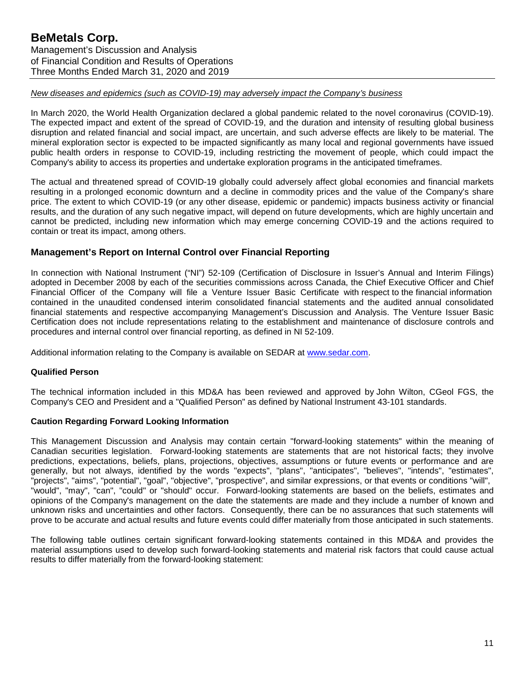# *New diseases and epidemics (such as COVID-19) may adversely impact the Company's business*

In March 2020, the World Health Organization declared a global pandemic related to the novel coronavirus (COVID-19). The expected impact and extent of the spread of COVID-19, and the duration and intensity of resulting global business disruption and related financial and social impact, are uncertain, and such adverse effects are likely to be material. The mineral exploration sector is expected to be impacted significantly as many local and regional governments have issued public health orders in response to COVID-19, including restricting the movement of people, which could impact the Company's ability to access its properties and undertake exploration programs in the anticipated timeframes.

The actual and threatened spread of COVID-19 globally could adversely affect global economies and financial markets resulting in a prolonged economic downturn and a decline in commodity prices and the value of the Company's share price. The extent to which COVID-19 (or any other disease, epidemic or pandemic) impacts business activity or financial results, and the duration of any such negative impact, will depend on future developments, which are highly uncertain and cannot be predicted, including new information which may emerge concerning COVID-19 and the actions required to contain or treat its impact, among others.

# **Management's Report on Internal Control over Financial Reporting**

In connection with National Instrument ("NI") 52-109 (Certification of Disclosure in Issuer's Annual and Interim Filings) adopted in December 2008 by each of the securities commissions across Canada, the Chief Executive Officer and Chief Financial Officer of the Company will file a Venture Issuer Basic Certificate with respect to the financial information contained in the unaudited condensed interim consolidated financial statements and the audited annual consolidated financial statements and respective accompanying Management's Discussion and Analysis. The Venture Issuer Basic Certification does not include representations relating to the establishment and maintenance of disclosure controls and procedures and internal control over financial reporting, as defined in NI 52-109.

Additional information relating to the Company is available on SEDAR at [www.sedar.com.](http://www.sedar.com/)

# **Qualified Person**

The technical information included in this MD&A has been reviewed and approved by John Wilton, CGeol FGS, the Company's CEO and President and a "Qualified Person" as defined by National Instrument 43-101 standards.

# **Caution Regarding Forward Looking Information**

This Management Discussion and Analysis may contain certain "forward-looking statements" within the meaning of Canadian securities legislation. Forward-looking statements are statements that are not historical facts; they involve predictions, expectations, beliefs, plans, projections, objectives, assumptions or future events or performance and are generally, but not always, identified by the words "expects", "plans", "anticipates", "believes", "intends", "estimates", "projects", "aims", "potential", "goal", "objective", "prospective", and similar expressions, or that events or conditions "will", "would", "may", "can", "could" or "should" occur. Forward-looking statements are based on the beliefs, estimates and opinions of the Company's management on the date the statements are made and they include a number of known and unknown risks and uncertainties and other factors. Consequently, there can be no assurances that such statements will prove to be accurate and actual results and future events could differ materially from those anticipated in such statements.

The following table outlines certain significant forward-looking statements contained in this MD&A and provides the material assumptions used to develop such forward-looking statements and material risk factors that could cause actual results to differ materially from the forward-looking statement: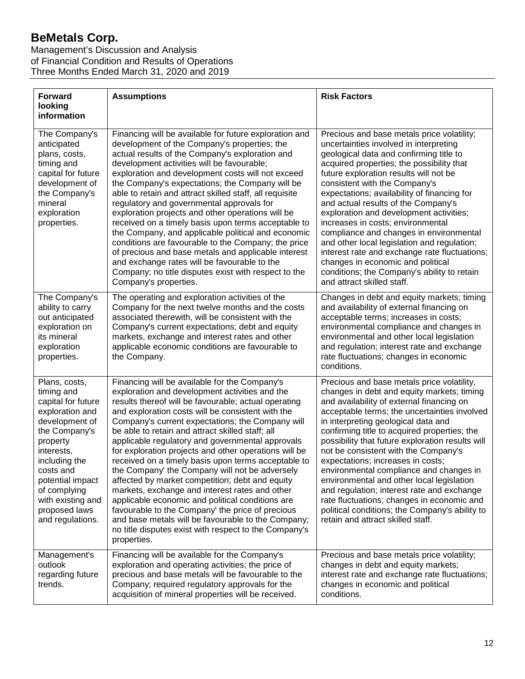Management's Discussion and Analysis of Financial Condition and Results of Operations Three Months Ended March 31, 2020 and 2019

| <b>Forward</b><br>looking<br>information                                                                                                                                                                                                                      | <b>Assumptions</b>                                                                                                                                                                                                                                                                                                                                                                                                                                                                                                                                                                                                                                                                                                                                                                                                                                                                    | <b>Risk Factors</b>                                                                                                                                                                                                                                                                                                                                                                                                                                                                                                                                                                                                                                                                        |
|---------------------------------------------------------------------------------------------------------------------------------------------------------------------------------------------------------------------------------------------------------------|---------------------------------------------------------------------------------------------------------------------------------------------------------------------------------------------------------------------------------------------------------------------------------------------------------------------------------------------------------------------------------------------------------------------------------------------------------------------------------------------------------------------------------------------------------------------------------------------------------------------------------------------------------------------------------------------------------------------------------------------------------------------------------------------------------------------------------------------------------------------------------------|--------------------------------------------------------------------------------------------------------------------------------------------------------------------------------------------------------------------------------------------------------------------------------------------------------------------------------------------------------------------------------------------------------------------------------------------------------------------------------------------------------------------------------------------------------------------------------------------------------------------------------------------------------------------------------------------|
| The Company's<br>anticipated<br>plans, costs,<br>timing and<br>capital for future<br>development of<br>the Company's<br>mineral<br>exploration<br>properties.                                                                                                 | Financing will be available for future exploration and<br>development of the Company's properties; the<br>actual results of the Company's exploration and<br>development activities will be favourable;<br>exploration and development costs will not exceed<br>the Company's expectations; the Company will be<br>able to retain and attract skilled staff, all requisite<br>regulatory and governmental approvals for<br>exploration projects and other operations will be<br>received on a timely basis upon terms acceptable to<br>the Company, and applicable political and economic<br>conditions are favourable to the Company; the price<br>of precious and base metals and applicable interest<br>and exchange rates will be favourable to the<br>Company; no title disputes exist with respect to the<br>Company's properties.                                              | Precious and base metals price volatility;<br>uncertainties involved in interpreting<br>geological data and confirming title to<br>acquired properties; the possibility that<br>future exploration results will not be<br>consistent with the Company's<br>expectations; availability of financing for<br>and actual results of the Company's<br>exploration and development activities;<br>increases in costs; environmental<br>compliance and changes in environmental<br>and other local legislation and regulation;<br>interest rate and exchange rate fluctuations;<br>changes in economic and political<br>conditions; the Company's ability to retain<br>and attract skilled staff. |
| The Company's<br>ability to carry<br>out anticipated<br>exploration on<br>its mineral<br>exploration<br>properties.                                                                                                                                           | The operating and exploration activities of the<br>Company for the next twelve months and the costs<br>associated therewith, will be consistent with the<br>Company's current expectations; debt and equity<br>markets, exchange and interest rates and other<br>applicable economic conditions are favourable to<br>the Company.                                                                                                                                                                                                                                                                                                                                                                                                                                                                                                                                                     | Changes in debt and equity markets; timing<br>and availability of external financing on<br>acceptable terms; increases in costs;<br>environmental compliance and changes in<br>environmental and other local legislation<br>and regulation; interest rate and exchange<br>rate fluctuations; changes in economic<br>conditions.                                                                                                                                                                                                                                                                                                                                                            |
| Plans, costs,<br>timing and<br>capital for future<br>exploration and<br>development of<br>the Company's<br>property<br>interests,<br>including the<br>costs and<br>potential impact<br>of complying<br>with existing and<br>proposed laws<br>and regulations. | Financing will be available for the Company's<br>exploration and development activities and the<br>results thereof will be favourable; actual operating<br>and exploration costs will be consistent with the<br>Company's current expectations; the Company will<br>be able to retain and attract skilled staff; all<br>applicable regulatory and governmental approvals<br>for exploration projects and other operations will be<br>received on a timely basis upon terms acceptable to<br>the Company' the Company will not be adversely<br>affected by market competition; debt and equity<br>markets, exchange and interest rates and other<br>applicable economic and political conditions are<br>favourable to the Company' the price of precious<br>and base metals will be favourable to the Company;<br>no title disputes exist with respect to the Company's<br>properties. | Precious and base metals price volatility,<br>changes in debt and equity markets; timing<br>and availability of external financing on<br>acceptable terms; the uncertainties involved<br>in interpreting geological data and<br>confirming title to acquired properties; the<br>possibility that future exploration results will<br>not be consistent with the Company's<br>expectations; increases in costs;<br>environmental compliance and changes in<br>environmental and other local legislation<br>and regulation; interest rate and exchange<br>rate fluctuations; changes in economic and<br>political conditions; the Company's ability to<br>retain and attract skilled staff.   |
| Management's<br>outlook<br>regarding future<br>trends.                                                                                                                                                                                                        | Financing will be available for the Company's<br>exploration and operating activities; the price of<br>precious and base metals will be favourable to the<br>Company; required regulatory approvals for the<br>acquisition of mineral properties will be received.                                                                                                                                                                                                                                                                                                                                                                                                                                                                                                                                                                                                                    | Precious and base metals price volatility;<br>changes in debt and equity markets;<br>interest rate and exchange rate fluctuations;<br>changes in economic and political<br>conditions.                                                                                                                                                                                                                                                                                                                                                                                                                                                                                                     |